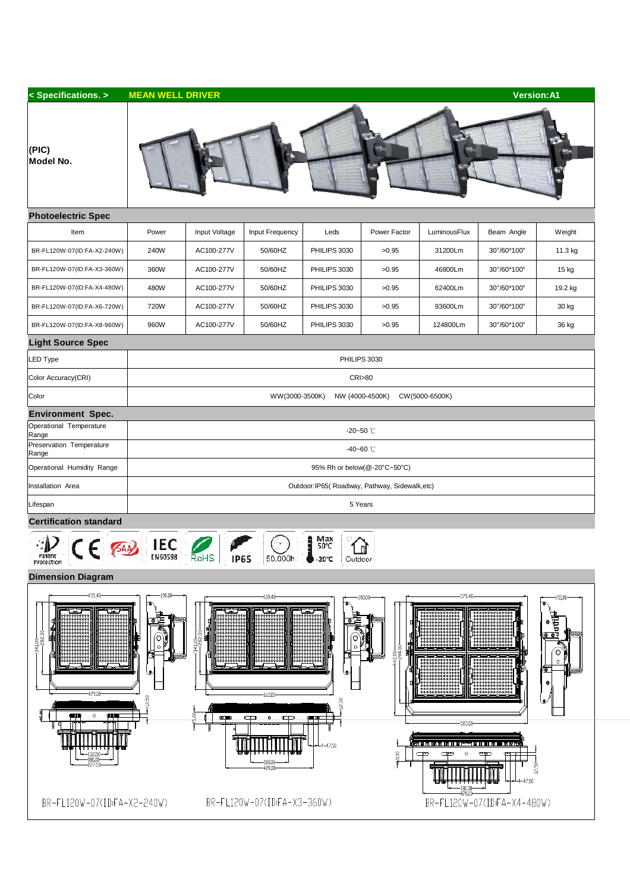| < Specifications. >                                                                                                                                                            | <b>MEAN WELL DRIVER</b>                             |                                                                |                                                                                                               |                                                                   |                                             |                                                                                                                  | <b>Version:A1</b>                                      |                                                         |  |  |  |  |
|--------------------------------------------------------------------------------------------------------------------------------------------------------------------------------|-----------------------------------------------------|----------------------------------------------------------------|---------------------------------------------------------------------------------------------------------------|-------------------------------------------------------------------|---------------------------------------------|------------------------------------------------------------------------------------------------------------------|--------------------------------------------------------|---------------------------------------------------------|--|--|--|--|
| (PIC)<br>Model No.                                                                                                                                                             |                                                     |                                                                |                                                                                                               |                                                                   |                                             |                                                                                                                  |                                                        |                                                         |  |  |  |  |
| <b>Photoelectric Spec</b>                                                                                                                                                      |                                                     |                                                                |                                                                                                               |                                                                   |                                             |                                                                                                                  |                                                        |                                                         |  |  |  |  |
| Item                                                                                                                                                                           | Power                                               | Input Voltage                                                  | Input Frequency                                                                                               | Leds                                                              | Power Factor                                | LuminousFlux                                                                                                     | Beam Angle                                             | Weight                                                  |  |  |  |  |
| BR-FL120W-07(ID:FA-X2-240W)                                                                                                                                                    | 240W                                                | AC100-277V                                                     | 50/60HZ                                                                                                       | PHILIPS 3030                                                      | >0.95                                       | 31200Lm                                                                                                          | 30°/60*100°                                            | 11.3 kg                                                 |  |  |  |  |
| BR-FL120W-07(ID:FA-X3-360W)                                                                                                                                                    | 360W                                                | AC100-277V                                                     | 50/60HZ                                                                                                       | PHILIPS 3030                                                      | >0.95                                       | 46800Lm                                                                                                          | 30°/60*100°                                            | 15 kg                                                   |  |  |  |  |
| BR-FL120W-07(ID:FA-X4-480W)                                                                                                                                                    | 480W                                                | AC100-277V                                                     | 50/60HZ                                                                                                       | PHILIPS 3030                                                      | >0.95                                       | 62400Lm                                                                                                          | 30°/60*100°                                            | 19.2 kg                                                 |  |  |  |  |
| BR-FL120W-07(ID:FA-X6-720W)                                                                                                                                                    | 720W                                                | AC100-277V                                                     | 50/60HZ                                                                                                       | PHILIPS 3030                                                      | >0.95                                       | 93600Lm                                                                                                          | 30°/60*100°                                            | 30 kg                                                   |  |  |  |  |
| BR-FL120W-07(ID:FA-X8-960W)                                                                                                                                                    | 960W                                                | AC100-277V                                                     | 50/60HZ                                                                                                       | PHILIPS 3030                                                      | >0.95                                       | 124800Lm                                                                                                         | 30°/60*100°                                            | 36 kg                                                   |  |  |  |  |
| <b>Light Source Spec</b>                                                                                                                                                       |                                                     |                                                                |                                                                                                               |                                                                   |                                             |                                                                                                                  |                                                        |                                                         |  |  |  |  |
| LED Type                                                                                                                                                                       | PHILIPS 3030                                        |                                                                |                                                                                                               |                                                                   |                                             |                                                                                                                  |                                                        |                                                         |  |  |  |  |
| Color Accuracy(CRI)                                                                                                                                                            | <b>CRI&gt;80</b>                                    |                                                                |                                                                                                               |                                                                   |                                             |                                                                                                                  |                                                        |                                                         |  |  |  |  |
| Color                                                                                                                                                                          | WW(3000-3500K)<br>NW (4000-4500K)<br>CW(5000-6500K) |                                                                |                                                                                                               |                                                                   |                                             |                                                                                                                  |                                                        |                                                         |  |  |  |  |
| <b>Environment Spec.</b>                                                                                                                                                       |                                                     |                                                                |                                                                                                               |                                                                   |                                             |                                                                                                                  |                                                        |                                                         |  |  |  |  |
| Operational Temperature<br>Range                                                                                                                                               | -20~50 $°C$                                         |                                                                |                                                                                                               |                                                                   |                                             |                                                                                                                  |                                                        |                                                         |  |  |  |  |
| Preservation Temperature<br>Range                                                                                                                                              | $-40 - 60$ °C                                       |                                                                |                                                                                                               |                                                                   |                                             |                                                                                                                  |                                                        |                                                         |  |  |  |  |
| Operational Humidity Range                                                                                                                                                     | 95% Rh or below(@-20°C~50°C)                        |                                                                |                                                                                                               |                                                                   |                                             |                                                                                                                  |                                                        |                                                         |  |  |  |  |
| Installation Area                                                                                                                                                              | Outdoor: IP65(Roadway, Pathway, Sidewalk, etc)      |                                                                |                                                                                                               |                                                                   |                                             |                                                                                                                  |                                                        |                                                         |  |  |  |  |
| Lifespan                                                                                                                                                                       | 5 Years                                             |                                                                |                                                                                                               |                                                                   |                                             |                                                                                                                  |                                                        |                                                         |  |  |  |  |
| <b>Certification standard</b>                                                                                                                                                  |                                                     |                                                                |                                                                                                               |                                                                   |                                             |                                                                                                                  |                                                        |                                                         |  |  |  |  |
| Max<br><b>IEC</b><br>SAA<br>50°C<br>F<br>Ш<br>ratent<br><b>FIAPO2AR</b><br><b>ROHS</b><br><b>IP65</b><br>$50,000h$ $20°C$<br>Outdoor<br>Protection<br><b>Dimension Diagram</b> |                                                     |                                                                |                                                                                                               |                                                                   |                                             |                                                                                                                  |                                                        |                                                         |  |  |  |  |
| $-435.40$<br>$-341.00 -$<br>-282.00-<br>429.00-<br>ŒШ<br>$\circ$<br>qщщ<br>132.50-<br>180.00<br>-227.50<br>BR-FL120W-07(ID:FA-X2-240W)                                         | $-190.00-$<br>٥<br>(O<br>$\circ$<br>لې<br>12.50     | $-241.00 - 0.118$<br>$\square \square \square \square \square$ | -618.40-<br>$-612.00 -$<br>$\mathbf{0}$<br>$\Box$<br>$\Box$<br>180.00<br>420.00<br>BR-FL120W-07(IDFA-X3-360W) | $\bullet$<br>Ό<br>$\circ$<br>ڡ<br>12.50<br>quu up<br>$-4 - 47.50$ | -200.00-<br>$442,00$<br>-394.00<br>$+60.00$ | 579.40<br>583.00<br>31 M M M M M M M G 1999 M M M M M M M M G 19<br>ా<br>$\Box^{\mathrm{rev}}$<br>O<br>$-180.00$ | ுட<br>12.50<br>$-47.50$<br>BR-FL120W-07(ID:FA-X4-480W) | -201.00-<br>จ<br>。<br>【<br>【<br>O)<br>Ō<br>⊙<br>۰<br>یا |  |  |  |  |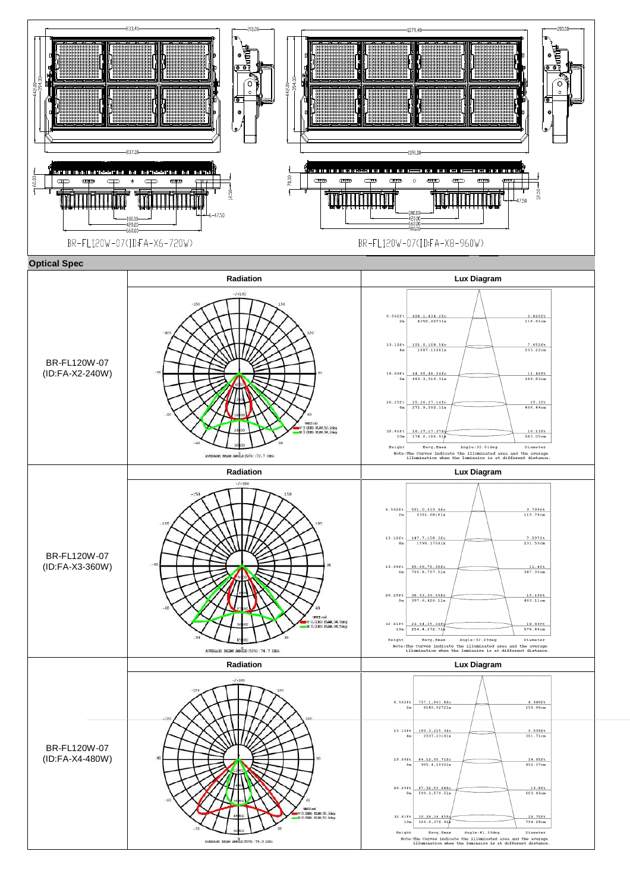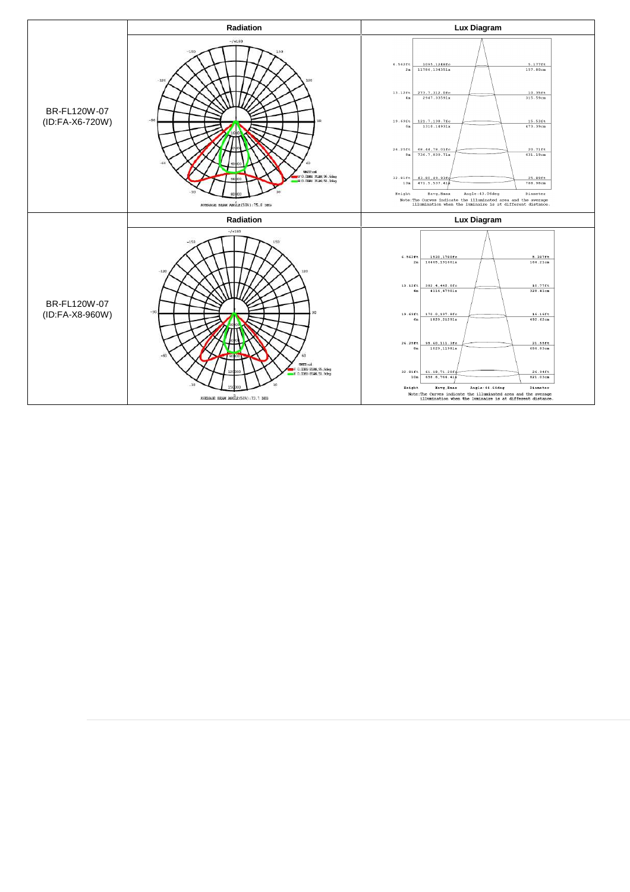